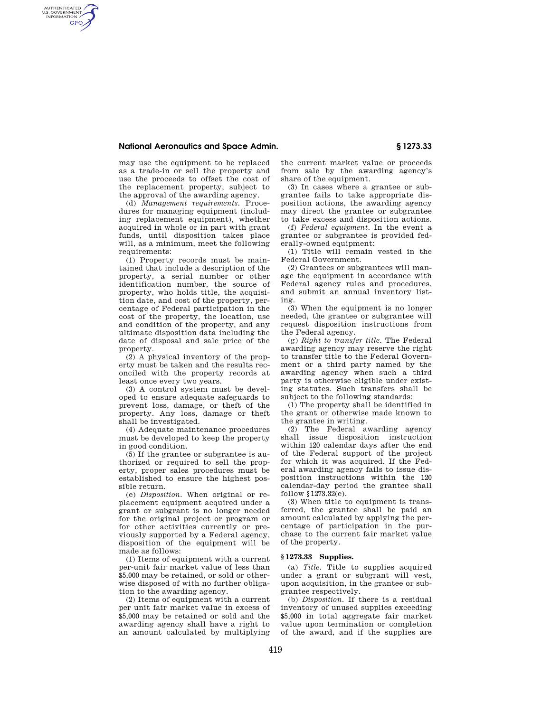# **National Aeronautics and Space Admin. § 1273.33**

AUTHENTICATED<br>U.S. GOVERNMENT<br>INFORMATION **GPO** 

> may use the equipment to be replaced as a trade-in or sell the property and use the proceeds to offset the cost of the replacement property, subject to the approval of the awarding agency.

(d) *Management requirements.* Procedures for managing equipment (including replacement equipment), whether acquired in whole or in part with grant funds, until disposition takes place will, as a minimum, meet the following requirements:

(1) Property records must be maintained that include a description of the property, a serial number or other identification number, the source of property, who holds title, the acquisition date, and cost of the property, percentage of Federal participation in the cost of the property, the location, use and condition of the property, and any ultimate disposition data including the date of disposal and sale price of the property.

(2) A physical inventory of the property must be taken and the results reconciled with the property records at least once every two years.

(3) A control system must be developed to ensure adequate safeguards to prevent loss, damage, or theft of the property. Any loss, damage or theft shall be investigated.

(4) Adequate maintenance procedures must be developed to keep the property in good condition.

(5) If the grantee or subgrantee is authorized or required to sell the property, proper sales procedures must be established to ensure the highest possible return.

(e) *Disposition.* When original or replacement equipment acquired under a grant or subgrant is no longer needed for the original project or program or for other activities currently or previously supported by a Federal agency, disposition of the equipment will be made as follows:

(1) Items of equipment with a current per-unit fair market value of less than \$5,000 may be retained, or sold or otherwise disposed of with no further obligation to the awarding agency.

(2) Items of equipment with a current per unit fair market value in excess of \$5,000 may be retained or sold and the awarding agency shall have a right to an amount calculated by multiplying

the current market value or proceeds from sale by the awarding agency's share of the equipment.

(3) In cases where a grantee or subgrantee fails to take appropriate disposition actions, the awarding agency may direct the grantee or subgrantee to take excess and disposition actions.

(f) *Federal equipment.* In the event a grantee or subgrantee is provided federally-owned equipment:

(1) Title will remain vested in the Federal Government.

(2) Grantees or subgrantees will manage the equipment in accordance with Federal agency rules and procedures, and submit an annual inventory listing.

(3) When the equipment is no longer needed, the grantee or subgrantee will request disposition instructions from the Federal agency.

(g) *Right to transfer title.* The Federal awarding agency may reserve the right to transfer title to the Federal Government or a third party named by the awarding agency when such a third party is otherwise eligible under existing statutes. Such transfers shall be subject to the following standards:

(1) The property shall be identified in the grant or otherwise made known to the grantee in writing.

(2) The Federal awarding agency shall issue disposition instruction within 120 calendar days after the end of the Federal support of the project for which it was acquired. If the Federal awarding agency fails to issue disposition instructions within the 120 calendar-day period the grantee shall follow  $$1273.32(e)$ .

(3) When title to equipment is transferred, the grantee shall be paid an amount calculated by applying the percentage of participation in the purchase to the current fair market value of the property.

# **§ 1273.33 Supplies.**

(a) *Title.* Title to supplies acquired under a grant or subgrant will vest, upon acquisition, in the grantee or subgrantee respectively.

(b) *Disposition.* If there is a residual inventory of unused supplies exceeding \$5,000 in total aggregate fair market value upon termination or completion of the award, and if the supplies are